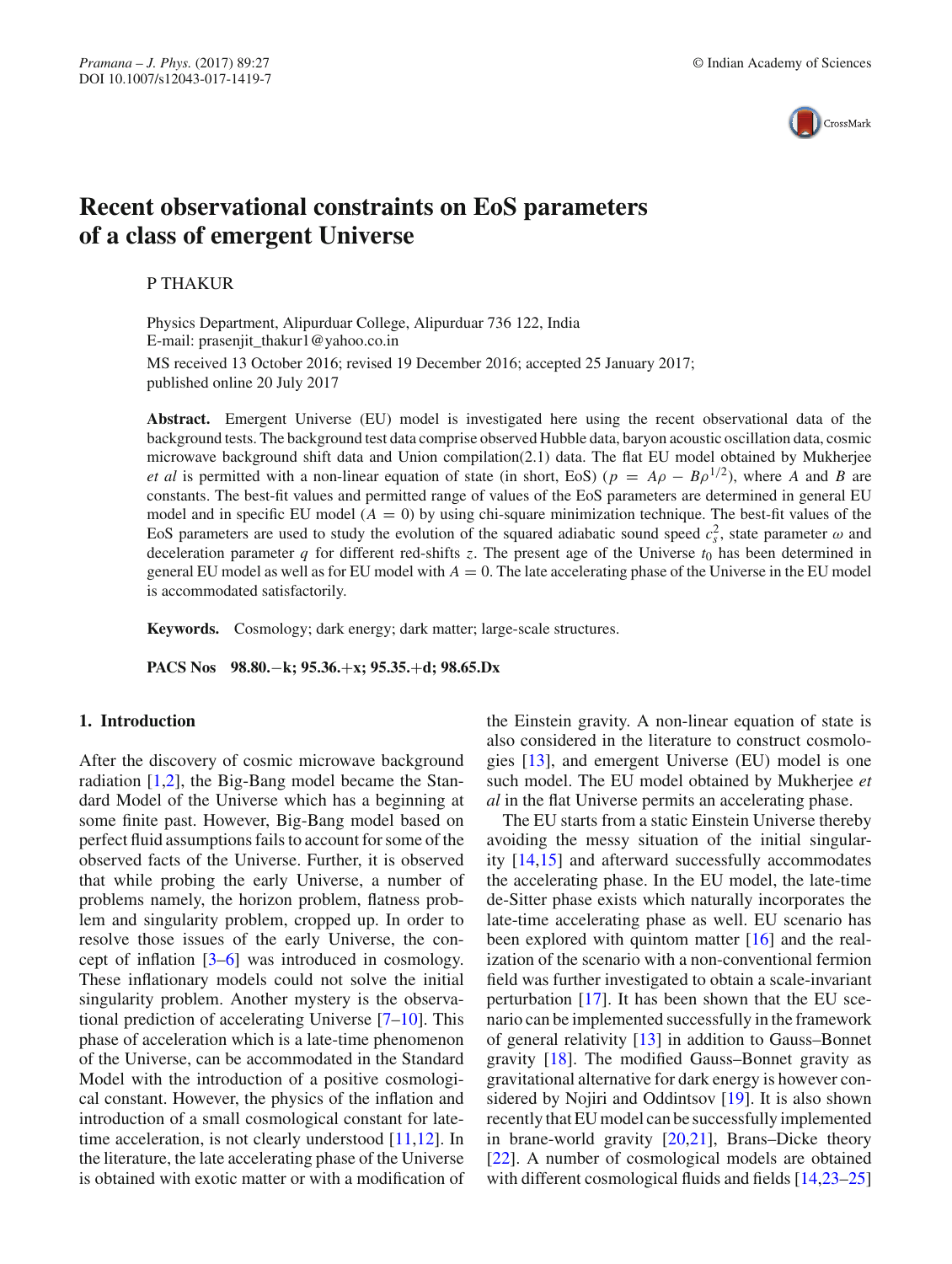

# **Recent observational constraints on EoS parameters of a class of emergent Universe**

P THAKUR

Physics Department, Alipurduar College, Alipurduar 736 122, India E-mail: prasenjit\_thakur1@yahoo.co.in

MS received 13 October 2016; revised 19 December 2016; accepted 25 January 2017; published online 20 July 2017

**Abstract.** Emergent Universe (EU) model is investigated here using the recent observational data of the background tests. The background test data comprise observed Hubble data, baryon acoustic oscillation data, cosmic microwave background shift data and Union compilation(2.1) data. The flat EU model obtained by Mukherjee *et al* is permitted with a non-linear equation of state (in short, EoS) ( $p = A\rho - B\rho^{1/2}$ ), where *A* and *B* are constants. The best-fit values and permitted range of values of the EoS parameters are determined in general EU model and in specific EU model  $(A = 0)$  by using chi-square minimization technique. The best-fit values of the EoS parameters are used to study the evolution of the squared adiabatic sound speed  $c_s^2$ , state parameter  $\omega$  and deceleration parameter  $q$  for different red-shifts  $z$ . The present age of the Universe  $t_0$  has been determined in general EU model as well as for EU model with  $A = 0$ . The late accelerating phase of the Universe in the EU model is accommodated satisfactorily.

**Keywords.** Cosmology; dark energy; dark matter; large-scale structures.

**PACS Nos 98.80.**−**k; 95.36.**+**x; 95.35.**+**d; 98.65.Dx**

### **1. Introduction**

After the discovery of cosmic microwave background radiation [1,2], the Big-Bang model became the Standard Model of the Universe which has a beginning at some finite past. However, Big-Bang model based on perfect fluid assumptions fails to account for some of the observed facts of the Universe. Further, it is observed that while probing the early Universe, a number of problems namely, the horizon problem, flatness problem and singularity problem, cropped up. In order to resolve those issues of the early Universe, the concept of inflation  $[3-6]$  was introduced in cosmology. These inflationary models could not solve the initial singularity problem. Another mystery is the observational prediction of accelerating Universe [7–10]. This phase of acceleration which is a late-time phenomenon of the Universe, can be accommodated in the Standard Model with the introduction of a positive cosmological constant. However, the physics of the inflation and introduction of a small cosmological constant for latetime acceleration, is not clearly understood [11,12]. In the literature, the late accelerating phase of the Universe is obtained with exotic matter or with a modification of the Einstein gravity. A non-linear equation of state is also considered in the literature to construct cosmologies [13], and emergent Universe (EU) model is one such model. The EU model obtained by Mukherjee *et al* in the flat Universe permits an accelerating phase.

The EU starts from a static Einstein Universe thereby avoiding the messy situation of the initial singularity [14,15] and afterward successfully accommodates the accelerating phase. In the EU model, the late-time de-Sitter phase exists which naturally incorporates the late-time accelerating phase as well. EU scenario has been explored with quintom matter [16] and the realization of the scenario with a non-conventional fermion field was further investigated to obtain a scale-invariant perturbation [17]. It has been shown that the EU scenario can be implemented successfully in the framework of general relativity [13] in addition to Gauss–Bonnet gravity [18]. The modified Gauss–Bonnet gravity as gravitational alternative for dark energy is however considered by Nojiri and Oddintsov [19]. It is also shown recently that EU model can be successfully implemented in brane-world gravity  $[20,21]$ , Brans–Dicke theory [22]. A number of cosmological models are obtained with different cosmological fluids and fields [14,23–25]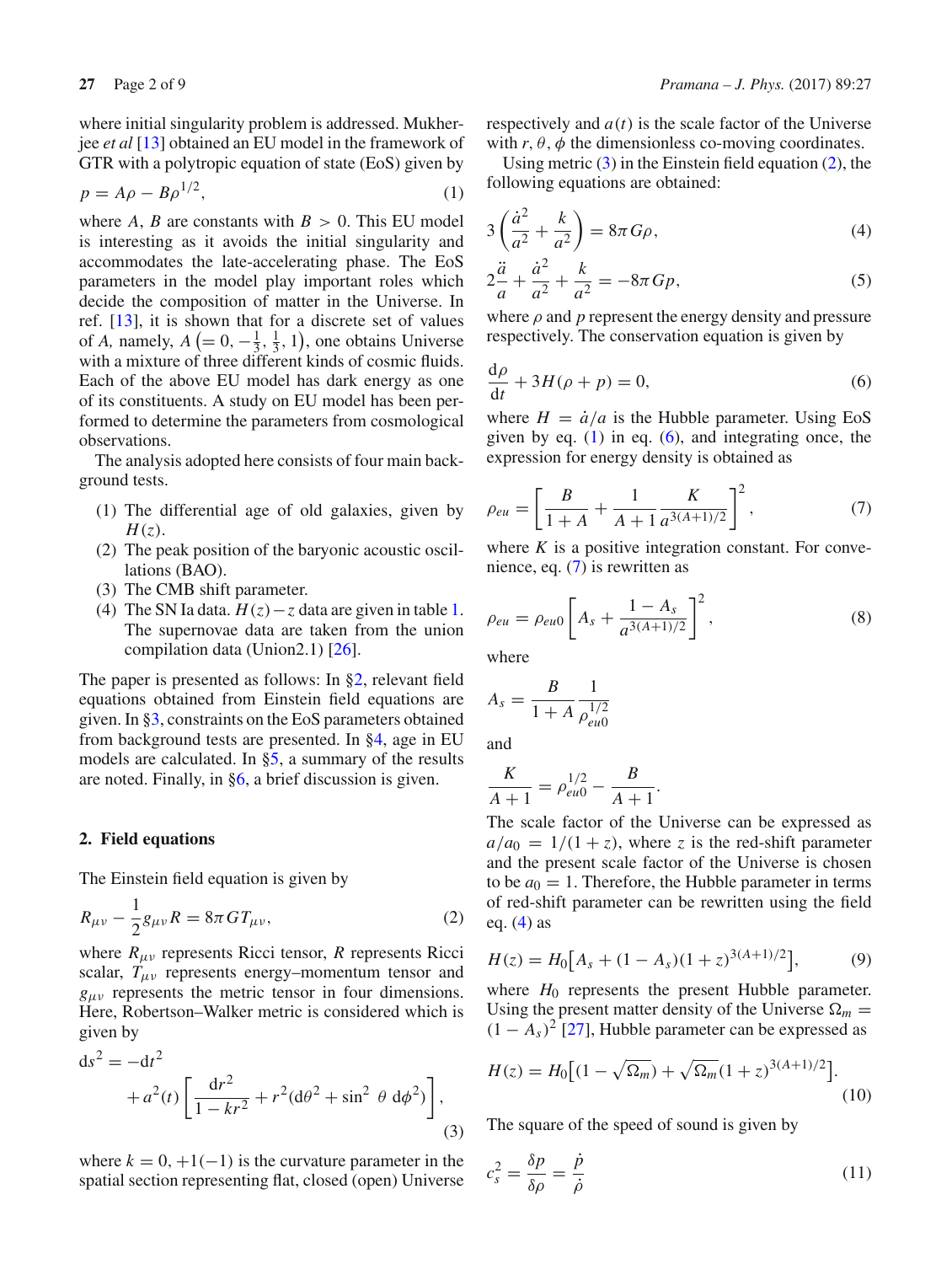where initial singularity problem is addressed. Mukherjee *et al* [13] obtained an EU model in the framework of GTR with a polytropic equation of state (EoS) given by

$$
p = A\rho - B\rho^{1/2},\tag{1}
$$

where *A*, *B* are constants with  $B > 0$ . This EU model is interesting as it avoids the initial singularity and accommodates the late-accelerating phase. The EoS parameters in the model play important roles which decide the composition of matter in the Universe. In ref. [13], it is shown that for a discrete set of values of *A*, namely,  $A\left(=0, -\frac{1}{3}, \frac{1}{3}, 1\right)$ , one obtains Universe with a mixture of three different kinds of cosmic fluids. Each of the above EU model has dark energy as one of its constituents. A study on EU model has been performed to determine the parameters from cosmological observations.

The analysis adopted here consists of four main background tests.

- (1) The differential age of old galaxies, given by *H*(*z*).
- (2) The peak position of the baryonic acoustic oscillations (BAO).
- (3) The CMB shift parameter.
- (4) The SN Ia data.  $H(z) z$  data are given in table 1. The supernovae data are taken from the union compilation data (Union2.1) [26].

The paper is presented as follows: In §2, relevant field equations obtained from Einstein field equations are given. In §3, constraints on the EoS parameters obtained from background tests are presented. In §4, age in EU models are calculated. In §5, a summary of the results are noted. Finally, in §6, a brief discussion is given.

### **2. Field equations**

The Einstein field equation is given by

$$
R_{\mu\nu} - \frac{1}{2}g_{\mu\nu}R = 8\pi GT_{\mu\nu},
$$
 (2)

where  $R_{\mu\nu}$  represents Ricci tensor, *R* represents Ricci scalar,  $T_{\mu\nu}$  represents energy–momentum tensor and  $g_{\mu\nu}$  represents the metric tensor in four dimensions. Here, Robertson–Walker metric is considered which is given by

$$
ds^{2} = -dt^{2}
$$
  
+ $a^{2}(t)\left[\frac{dr^{2}}{1 - kr^{2}} + r^{2}(d\theta^{2} + \sin^{2}\theta \ d\phi^{2})\right],$  (3)

where  $k = 0, +1(-1)$  is the curvature parameter in the spatial section representing flat, closed (open) Universe respectively and  $a(t)$  is the scale factor of the Universe with  $r, \theta, \phi$  the dimensionless co-moving coordinates.

Using metric  $(3)$  in the Einstein field equation  $(2)$ , the following equations are obtained:

$$
3\left(\frac{\dot{a}^2}{a^2} + \frac{k}{a^2}\right) = 8\pi G\rho,\tag{4}
$$

$$
2\frac{\ddot{a}}{a} + \frac{\dot{a}^2}{a^2} + \frac{k}{a^2} = -8\pi G p,\tag{5}
$$

where ρ and *p* represent the energy density and pressure respectively. The conservation equation is given by

$$
\frac{\mathrm{d}\rho}{\mathrm{d}t} + 3H(\rho + p) = 0,\tag{6}
$$

where  $H = \dot{a}/a$  is the Hubble parameter. Using EoS given by eq.  $(1)$  in eq.  $(6)$ , and integrating once, the expression for energy density is obtained as

$$
\rho_{eu} = \left[\frac{B}{1+A} + \frac{1}{A+1} \frac{K}{a^{3(A+1)/2}}\right]^2, \tag{7}
$$

where  $K$  is a positive integration constant. For convenience, eq. (7) is rewritten as

$$
\rho_{eu} = \rho_{eu0} \left[ A_s + \frac{1 - A_s}{a^{3(A+1)/2}} \right]^2, \tag{8}
$$

where

$$
A_s = \frac{B}{1+A} \frac{1}{\rho_{eu0}^{1/2}}
$$

and

$$
\frac{K}{A+1} = \rho_{eu0}^{1/2} - \frac{B}{A+1}.
$$

The scale factor of the Universe can be expressed as  $a/a_0 = 1/(1+z)$ , where *z* is the red-shift parameter and the present scale factor of the Universe is chosen to be  $a_0 = 1$ . Therefore, the Hubble parameter in terms of red-shift parameter can be rewritten using the field eq.  $(4)$  as

$$
H(z) = H_0[A_s + (1 - A_s)(1 + z)^{3(A+1)/2}], \tag{9}
$$

where  $H_0$  represents the present Hubble parameter. Using the present matter density of the Universe  $\Omega_m$  =  $(1 - A_s)^2$  [27], Hubble parameter can be expressed as

$$
H(z) = H_0 \left[ (1 - \sqrt{\Omega_m}) + \sqrt{\Omega_m} (1 + z)^{3(A+1)/2} \right].
$$
\n(10)

The square of the speed of sound is given by

$$
c_s^2 = \frac{\delta p}{\delta \rho} = \frac{\dot{p}}{\dot{\rho}}\tag{11}
$$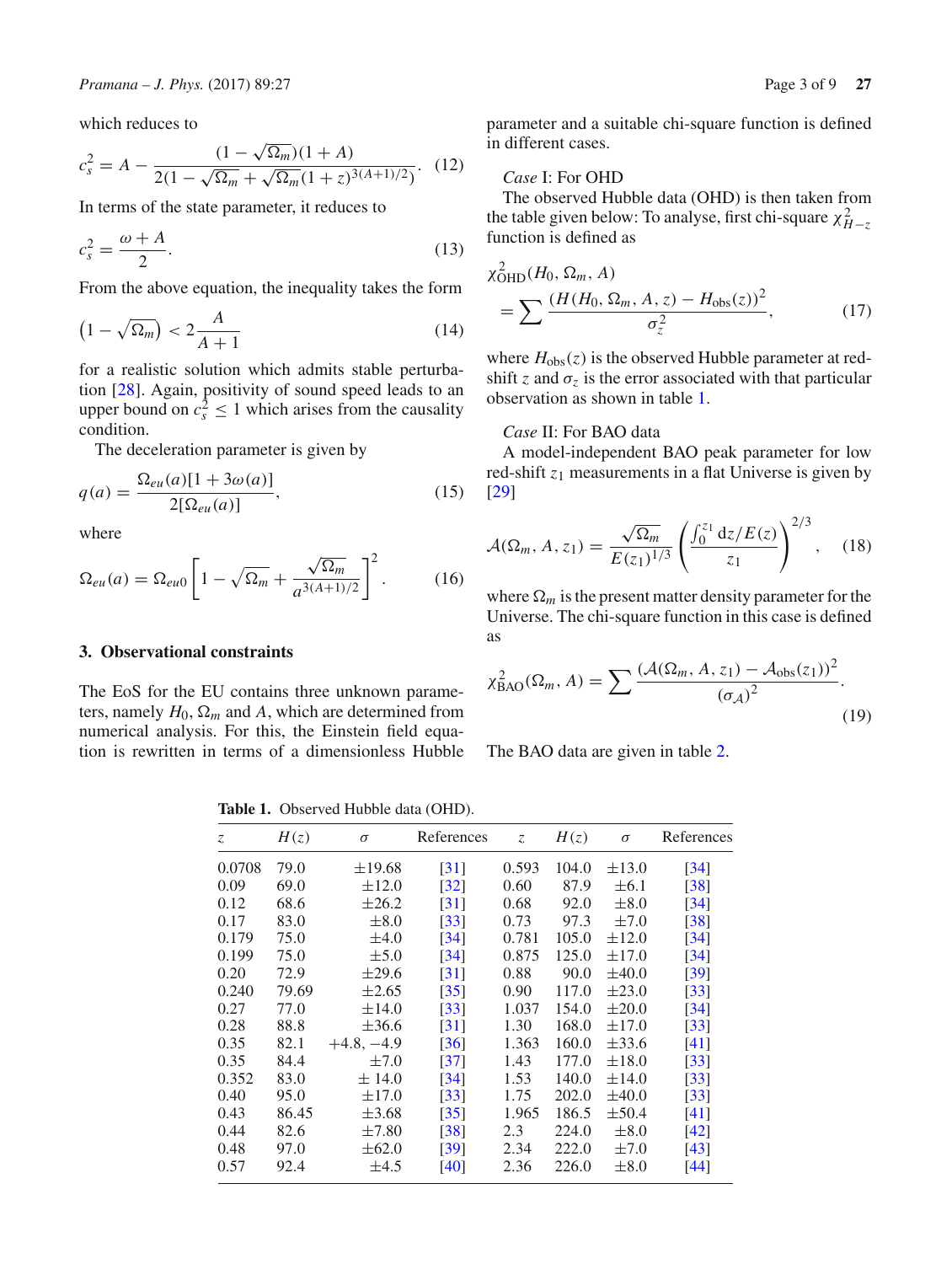which reduces to

$$
c_s^2 = A - \frac{(1 - \sqrt{\Omega_m})(1 + A)}{2(1 - \sqrt{\Omega_m} + \sqrt{\Omega_m}(1 + z)^{3(A+1)/2})}.
$$
 (12)

In terms of the state parameter, it reduces to

$$
c_s^2 = \frac{\omega + A}{2}.\tag{13}
$$

From the above equation, the inequality takes the form

$$
\left(1 - \sqrt{\Omega_m}\right) < 2\frac{A}{A+1} \tag{14}
$$

for a realistic solution which admits stable perturbation [28]. Again, positivity of sound speed leads to an upper bound on  $c_s^2 \leq 1$  which arises from the causality condition.

The deceleration parameter is given by

$$
q(a) = \frac{\Omega_{eu}(a)[1 + 3\omega(a)]}{2[\Omega_{eu}(a)]},
$$
\n(15)

where

$$
\Omega_{eu}(a) = \Omega_{eu0} \left[ 1 - \sqrt{\Omega_m} + \frac{\sqrt{\Omega_m}}{a^{3(A+1)/2}} \right]^2.
$$
 (16)

# **3. Observational constraints**

The EoS for the EU contains three unknown parameters, namely  $H_0$ ,  $\Omega_m$  and A, which are determined from numerical analysis. For this, the Einstein field equation is rewritten in terms of a dimensionless Hubble parameter and a suitable chi-square function is defined in different cases.

# *Case* I: For OHD

The observed Hubble data (OHD) is then taken from the table given below: To analyse, first chi-square  $\chi^2_{H-z}$ function is defined as

$$
\chi_{\text{OHD}}^{2}(H_{0}, \Omega_{m}, A)
$$
\n
$$
= \sum \frac{(H(H_{0}, \Omega_{m}, A, z) - H_{\text{obs}}(z))^{2}}{\sigma_{z}^{2}},
$$
\n(17)

where  $H_{obs}(z)$  is the observed Hubble parameter at redshift *z* and  $\sigma$ <sub>z</sub> is the error associated with that particular observation as shown in table 1.

## *Case* II: For BAO data

A model-independent BAO peak parameter for low red-shift  $z_1$  measurements in a flat Universe is given by [29]

$$
\mathcal{A}(\Omega_m, A, z_1) = \frac{\sqrt{\Omega_m}}{E(z_1)^{1/3}} \left( \frac{\int_0^{z_1} dz/E(z)}{z_1} \right)^{2/3}, \quad (18)
$$

where  $\Omega_m$  is the present matter density parameter for the Universe. The chi-square function in this case is defined as

$$
\chi_{\text{BAO}}^2(\Omega_m, A) = \sum \frac{(\mathcal{A}(\Omega_m, A, z_1) - \mathcal{A}_{\text{obs}}(z_1))^2}{(\sigma_{\mathcal{A}})^2}.
$$
\n(19)

The BAO data are given in table 2.

**Table 1.** Observed Hubble data (OHD).

| $Z_{\cdot}$ | H(z)  | $\sigma$     | References         | Z     | H(z)  | $\sigma$   | References         |
|-------------|-------|--------------|--------------------|-------|-------|------------|--------------------|
| 0.0708      | 79.0  | $\pm 19.68$  | $\lceil 31 \rceil$ | 0.593 | 104.0 | $\pm$ 13.0 | $\lceil 34 \rceil$ |
| 0.09        | 69.0  | $\pm 12.0$   | $\left[32\right]$  | 0.60  | 87.9  | $\pm 6.1$  | $\lceil 38 \rceil$ |
| 0.12        | 68.6  | $\pm 26.2$   | $\lceil 31 \rceil$ | 0.68  | 92.0  | $\pm 8.0$  | $\lceil 34 \rceil$ |
| 0.17        | 83.0  | $\pm 8.0$    | $\lceil 33 \rceil$ | 0.73  | 97.3  | $\pm 7.0$  | [38]               |
| 0.179       | 75.0  | $\pm 4.0$    | $\lceil 34 \rceil$ | 0.781 | 105.0 | $\pm 12.0$ | [34]               |
| 0.199       | 75.0  | $\pm$ 5.0    | $\lceil 34 \rceil$ | 0.875 | 125.0 | $\pm 17.0$ | $\lceil 34 \rceil$ |
| 0.20        | 72.9  | $\pm 29.6$   | [31]               | 0.88  | 90.0  | $\pm 40.0$ | $\left[39\right]$  |
| 0.240       | 79.69 | $\pm 2.65$   | $\left[35\right]$  | 0.90  | 117.0 | $\pm 23.0$ | $\lceil 33 \rceil$ |
| 0.27        | 77.0  | $\pm 14.0$   | $\left[33\right]$  | 1.037 | 154.0 | $\pm 20.0$ | $\lceil 34 \rceil$ |
| 0.28        | 88.8  | $\pm 36.6$   | [31]               | 1.30  | 168.0 | $\pm 17.0$ | $\left[33\right]$  |
| 0.35        | 82.1  | $+4.8, -4.9$ | [36]               | 1.363 | 160.0 | $\pm$ 33.6 | [41]               |
| 0.35        | 84.4  | $\pm 7.0$    | $\left[37\right]$  | 1.43  | 177.0 | $\pm 18.0$ | [33]               |
| 0.352       | 83.0  | $\pm$ 14.0   | [34]               | 1.53  | 140.0 | $\pm 14.0$ | $\left[33\right]$  |
| 0.40        | 95.0  | $\pm 17.0$   | $\left[33\right]$  | 1.75  | 202.0 | $\pm 40.0$ | $\lceil 33 \rceil$ |
| 0.43        | 86.45 | $\pm 3.68$   | $\left[35\right]$  | 1.965 | 186.5 | $\pm$ 50.4 | [41]               |
| 0.44        | 82.6  | $\pm 7.80$   | $\lceil 38 \rceil$ | 2.3   | 224.0 | $\pm 8.0$  | [42]               |
| 0.48        | 97.0  | $\pm 62.0$   | [39]               | 2.34  | 222.0 | $\pm 7.0$  | [43]               |
| 0.57        | 92.4  | $\pm 4.5$    | [40]               | 2.36  | 226.0 | $\pm 8.0$  | [44]               |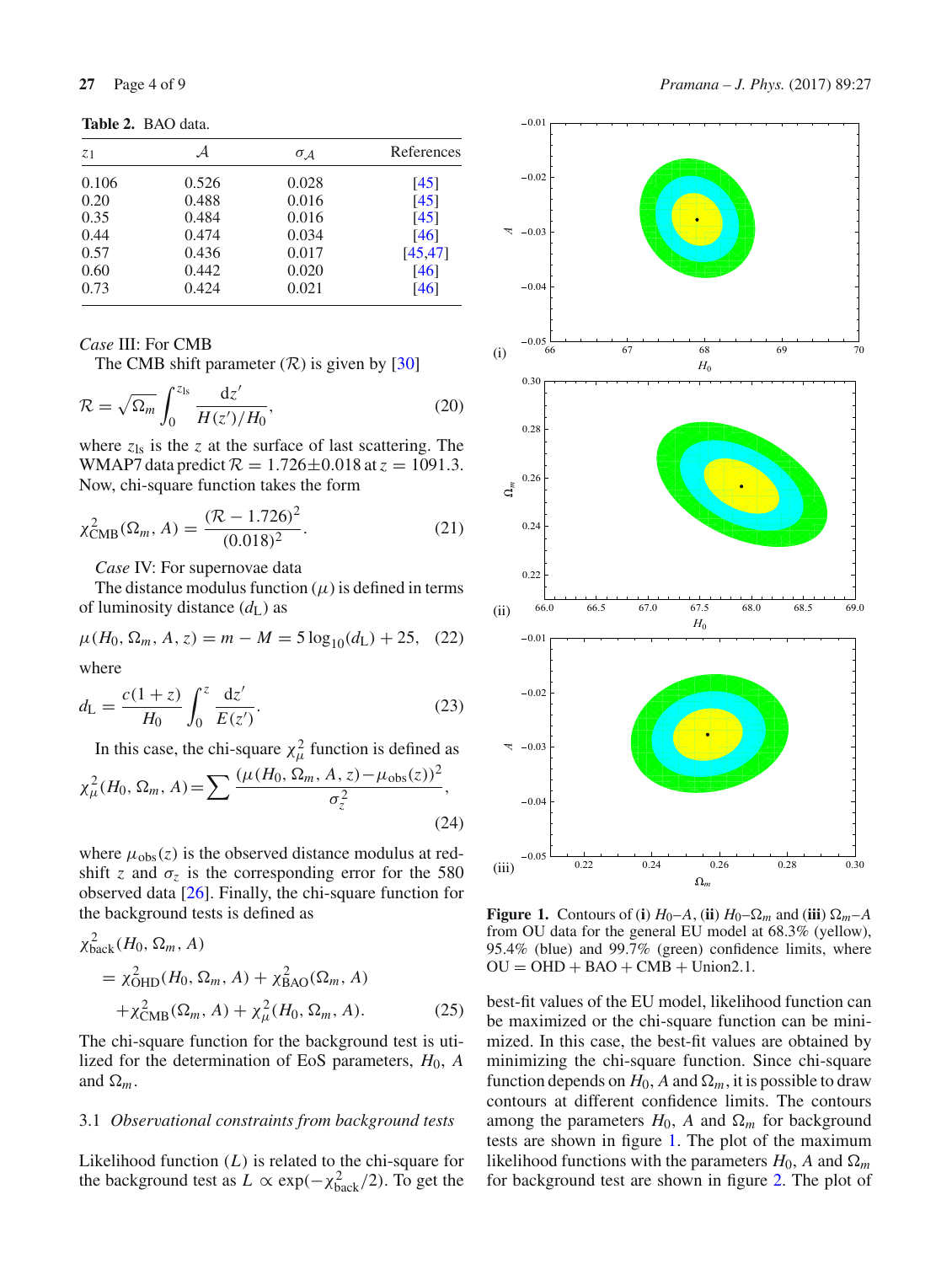**Table 2.** BAO data.

| А     | $\sigma_A$ | References |
|-------|------------|------------|
| 0.526 | 0.028      | [45]       |
| 0.488 | 0.016      | [45]       |
| 0.484 | 0.016      | [45]       |
| 0.474 | 0.034      | [46]       |
| 0.436 | 0.017      | [45, 47]   |
| 0.442 | 0.020      | [46]       |
| 0.424 | 0.021      | [46]       |
|       |            |            |

*Case* III: For CMB

The CMB shift parameter  $(\mathcal{R})$  is given by [30]

$$
\mathcal{R} = \sqrt{\Omega_m} \int_0^{z_{\rm ls}} \frac{\mathrm{d}z'}{H(z')/H_0},\tag{20}
$$

where  $z_{ls}$  is the  $z$  at the surface of last scattering. The WMAP7 data predict  $\mathcal{R} = 1.726 \pm 0.018$  at  $z = 1091.3$ . Now, chi-square function takes the form

$$
\chi^2_{\text{CMB}}(\Omega_m, A) = \frac{(\mathcal{R} - 1.726)^2}{(0.018)^2}.
$$
 (21)

*Case* IV: For supernovae data

The distance modulus function  $(\mu)$  is defined in terms of luminosity distance (*d*L) as

$$
\mu(H_0, \Omega_m, A, z) = m - M = 5 \log_{10}(d_{\rm L}) + 25, \quad (22)
$$

where

$$
d_{\rm L} = \frac{c(1+z)}{H_0} \int_0^z \frac{\mathrm{d}z'}{E(z')}.
$$
 (23)

In this case, the chi-square  $\chi^2_\mu$  function is defined as

$$
\chi_{\mu}^{2}(H_{0}, \Omega_{m}, A) = \sum \frac{(\mu(H_{0}, \Omega_{m}, A, z) - \mu_{obs}(z))^{2}}{\sigma_{z}^{2}},
$$
\n(24)

where  $\mu_{obs}(z)$  is the observed distance modulus at redshift *z* and  $\sigma$ <sub>z</sub> is the corresponding error for the 580 observed data [26]. Finally, the chi-square function for the background tests is defined as

$$
\chi_{\text{back}}^2(H_0, \Omega_m, A)
$$
  
=  $\chi_{\text{OHD}}^2(H_0, \Omega_m, A) + \chi_{\text{BAO}}^2(\Omega_m, A)$   
+  $\chi_{\text{CMB}}^2(\Omega_m, A) + \chi_{\mu}^2(H_0, \Omega_m, A).$  (25)

The chi-square function for the background test is utilized for the determination of EoS parameters, *H*0, *A* and  $\Omega_m$ .

#### 3.1 *Observational constraints from background tests*

Likelihood function (*L*) is related to the chi-square for the background test as  $L \propto \exp(-\chi_{\text{back}}^2/2)$ . To get the



**Figure 1.** Contours of (**i**)  $H_0$ –*A*, (**ii**)  $H_0$ – $\Omega_m$  and (**iii**)  $\Omega_m$ –*A* from OU data for the general EU model at 68.3% (yellow), 95.4% (blue) and 99.7% (green) confidence limits, where  $OU = OHD + BAO + CMB + Union2.1.$ 

best-fit values of the EU model, likelihood function can be maximized or the chi-square function can be minimized. In this case, the best-fit values are obtained by minimizing the chi-square function. Since chi-square function depends on  $H_0$ , A and  $\Omega_m$ , it is possible to draw contours at different confidence limits. The contours among the parameters  $H_0$ , A and  $\Omega_m$  for background tests are shown in figure 1. The plot of the maximum likelihood functions with the parameters  $H_0$ , A and  $\Omega_m$ for background test are shown in figure 2. The plot of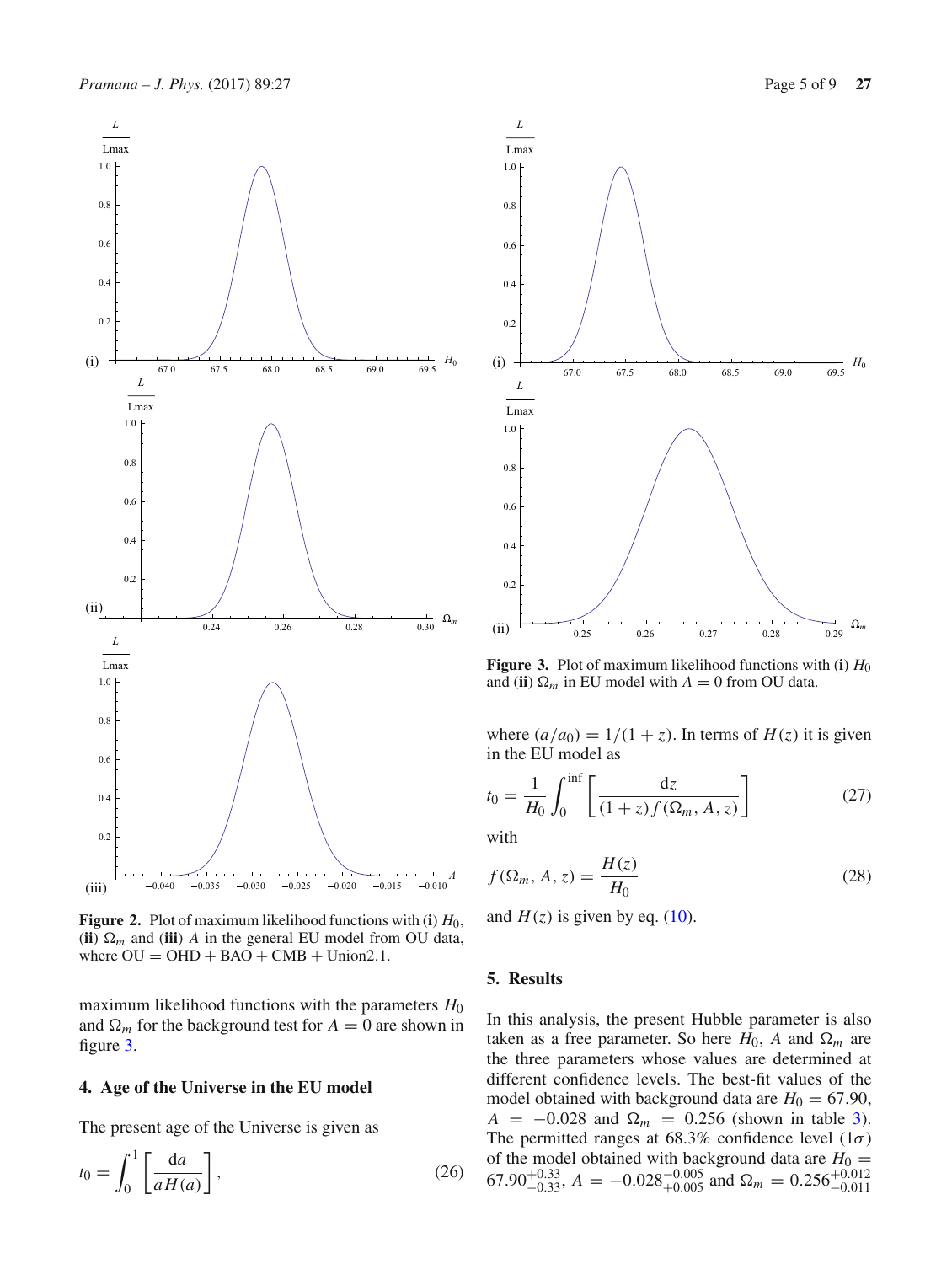

**Figure 2.** Plot of maximum likelihood functions with (**i**) *H*0, (ii)  $\Omega_m$  and (iii) *A* in the general EU model from OU data, where  $OU = OHD + BAO + CMB + Union2.1$ .

maximum likelihood functions with the parameters  $H_0$ and  $\Omega_m$  for the background test for  $A = 0$  are shown in figure 3.

# **4. Age of the Universe in the EU model**

The present age of the Universe is given as

$$
t_0 = \int_0^1 \left[ \frac{\mathrm{d}a}{aH(a)} \right],\tag{26}
$$



**Figure 3.** Plot of maximum likelihood functions with (**i**)  $H_0$ and (**ii**)  $\Omega_m$  in EU model with  $A = 0$  from OU data.

where  $(a/a_0) = 1/(1+z)$ . In terms of  $H(z)$  it is given in the EU model as

$$
t_0 = \frac{1}{H_0} \int_0^{\inf} \left[ \frac{dz}{(1+z)f(\Omega_m, A, z)} \right]
$$
 (27)

with

$$
f(\Omega_m, A, z) = \frac{H(z)}{H_0} \tag{28}
$$

and  $H(z)$  is given by eq. (10).

## **5. Results**

In this analysis, the present Hubble parameter is also taken as a free parameter. So here  $H_0$ , A and  $\Omega_m$  are the three parameters whose values are determined at different confidence levels. The best-fit values of the model obtained with background data are  $H_0 = 67.90$ ,  $A = -0.028$  and  $\Omega_m = 0.256$  (shown in table 3). The permitted ranges at 68.3% confidence level  $(1\sigma)$ of the model obtained with background data are  $H_0 =$ 67.90<sup>+0.33</sup>,  $A = -0.028_{+0.005}^{-0.005}$  and  $\Omega_m = 0.256_{-0.011}^{+0.012}$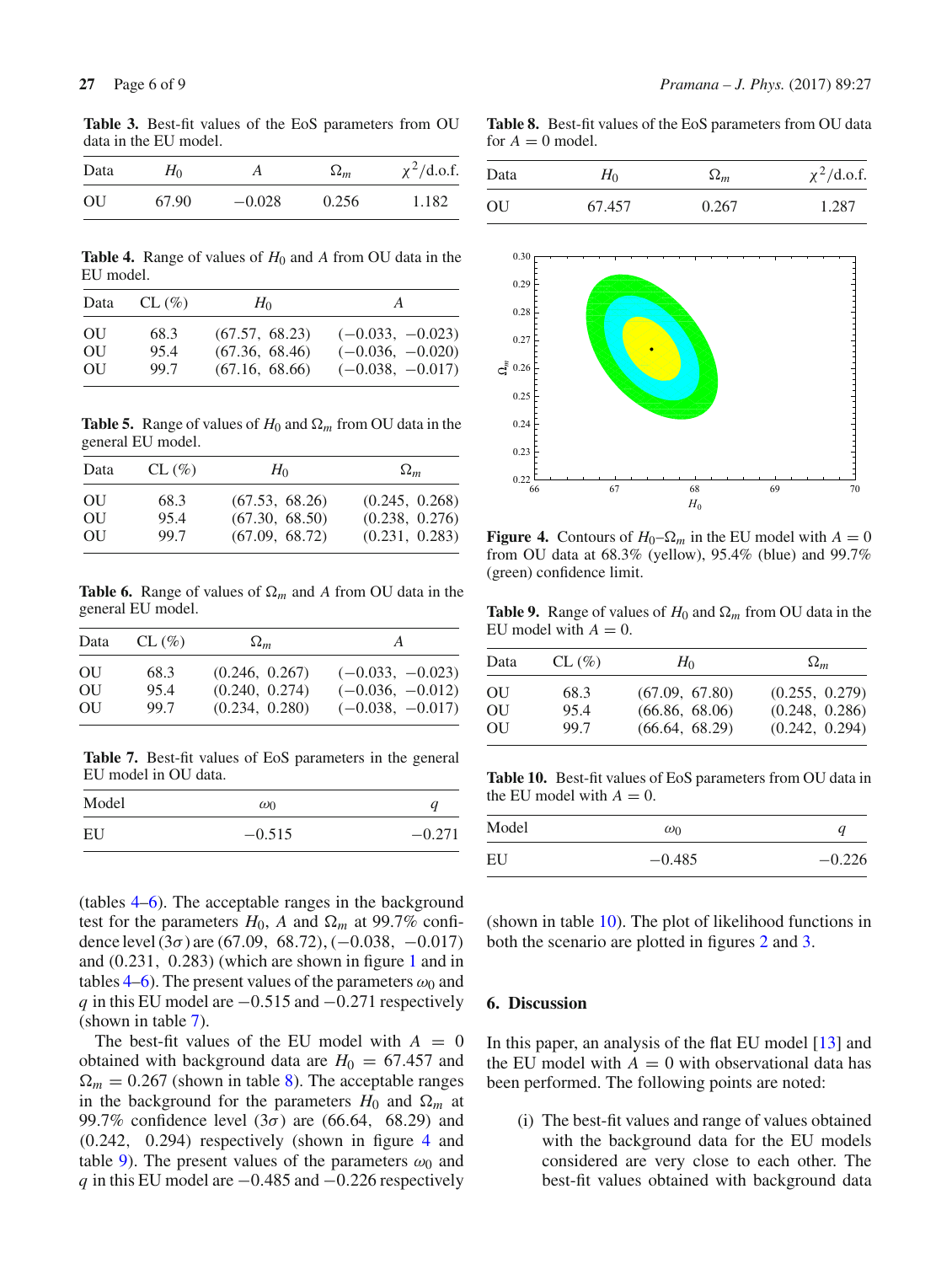**Table 3.** Best-fit values of the EoS parameters from OU data in the EU model.

| Data | $H_0$ |          | $\Omega_m$ | $\chi^2$ /d.o.f. |
|------|-------|----------|------------|------------------|
| OU   | 67.90 | $-0.028$ | 0.256      | 1.182            |

**Table 4.** Range of values of *H*<sup>0</sup> and *A* from OU data in the EU model.

| Data | $CL (\%)$ | $H_0$          | A                  |
|------|-----------|----------------|--------------------|
| OU   | 68.3      | (67.57, 68.23) | $(-0.033, -0.023)$ |
| OU   | 95.4      | (67.36, 68.46) | $(-0.036, -0.020)$ |
| OU   | 99.7      | (67.16, 68.66) | $(-0.038, -0.017)$ |

**Table 5.** Range of values of  $H_0$  and  $\Omega_m$  from OU data in the general EU model.

| Data | $CL (\%)$ | $H_0$          | $\Omega_m$     |
|------|-----------|----------------|----------------|
| OU   | 68.3      | (67.53, 68.26) | (0.245, 0.268) |
| OU   | 95.4      | (67.30, 68.50) | (0.238, 0.276) |
| OU   | 99.7      | (67.09, 68.72) | (0.231, 0.283) |

**Table 6.** Range of values of  $\Omega_m$  and A from OU data in the general EU model.

| Data | $CL (\%)$ | $\Omega_m$     | A                  |
|------|-----------|----------------|--------------------|
| OU   | 68.3      | (0.246, 0.267) | $(-0.033, -0.023)$ |
| OU   | 95.4      | (0.240, 0.274) | $(-0.036, -0.012)$ |
| OU   | 99.7      | (0.234, 0.280) | $(-0.038, -0.017)$ |

**Table 7.** Best-fit values of EoS parameters in the general EU model in OU data.

| Model | $\omega_0$ | a        |
|-------|------------|----------|
| EU    | $-0.515$   | $-0.271$ |

(tables 4–6). The acceptable ranges in the background test for the parameters  $H_0$ , A and  $\Omega_m$  at 99.7% confidence level  $(3\sigma)$  are  $(67.09, 68.72), (-0.038, -0.017)$ and (0.231, 0.283) (which are shown in figure 1 and in tables 4–6). The present values of the parameters  $\omega_0$  and *q* in this EU model are −0.515 and −0.271 respectively (shown in table 7).

The best-fit values of the EU model with  $A = 0$ obtained with background data are  $H_0 = 67.457$  and  $\Omega_m = 0.267$  (shown in table 8). The acceptable ranges in the background for the parameters  $H_0$  and  $\Omega_m$  at 99.7% confidence level  $(3\sigma)$  are  $(66.64, 68.29)$  and (0.242, 0.294) respectively (shown in figure 4 and table 9). The present values of the parameters  $\omega_0$  and *q* in this EU model are −0.485 and −0.226 respectively

**Table 8.** Best-fit values of the EoS parameters from OU data for  $A = 0$  model.

| Data | $H_0$  | $\Omega_m$ | $\chi^2$ /d.o.f. |
|------|--------|------------|------------------|
| OU   | 67.457 | 0.267      | 1.287            |



**Figure 4.** Contours of  $H_0$ – $\Omega_m$  in the EU model with  $A = 0$ from OU data at 68.3% (yellow), 95.4% (blue) and 99.7% (green) confidence limit.

**Table 9.** Range of values of  $H_0$  and  $\Omega_m$  from OU data in the EU model with  $A = 0$ .

| Data | $CL (\%)$ | $H_0$          | $\Omega_m$     |
|------|-----------|----------------|----------------|
| OU   | 68.3      | (67.09, 67.80) | (0.255, 0.279) |
| OU   | 95.4      | (66.86, 68.06) | (0.248, 0.286) |
| OU   | 99.7      | (66.64, 68.29) | (0.242, 0.294) |

**Table 10.** Best-fit values of EoS parameters from OU data in the EU model with  $A = 0$ .

| Model | $\omega_0$ | u        |
|-------|------------|----------|
| EU    | $-0.485$   | $-0.226$ |

(shown in table 10). The plot of likelihood functions in both the scenario are plotted in figures 2 and 3.

# **6. Discussion**

In this paper, an analysis of the flat EU model [13] and the EU model with  $A = 0$  with observational data has been performed. The following points are noted:

(i) The best-fit values and range of values obtained with the background data for the EU models considered are very close to each other. The best-fit values obtained with background data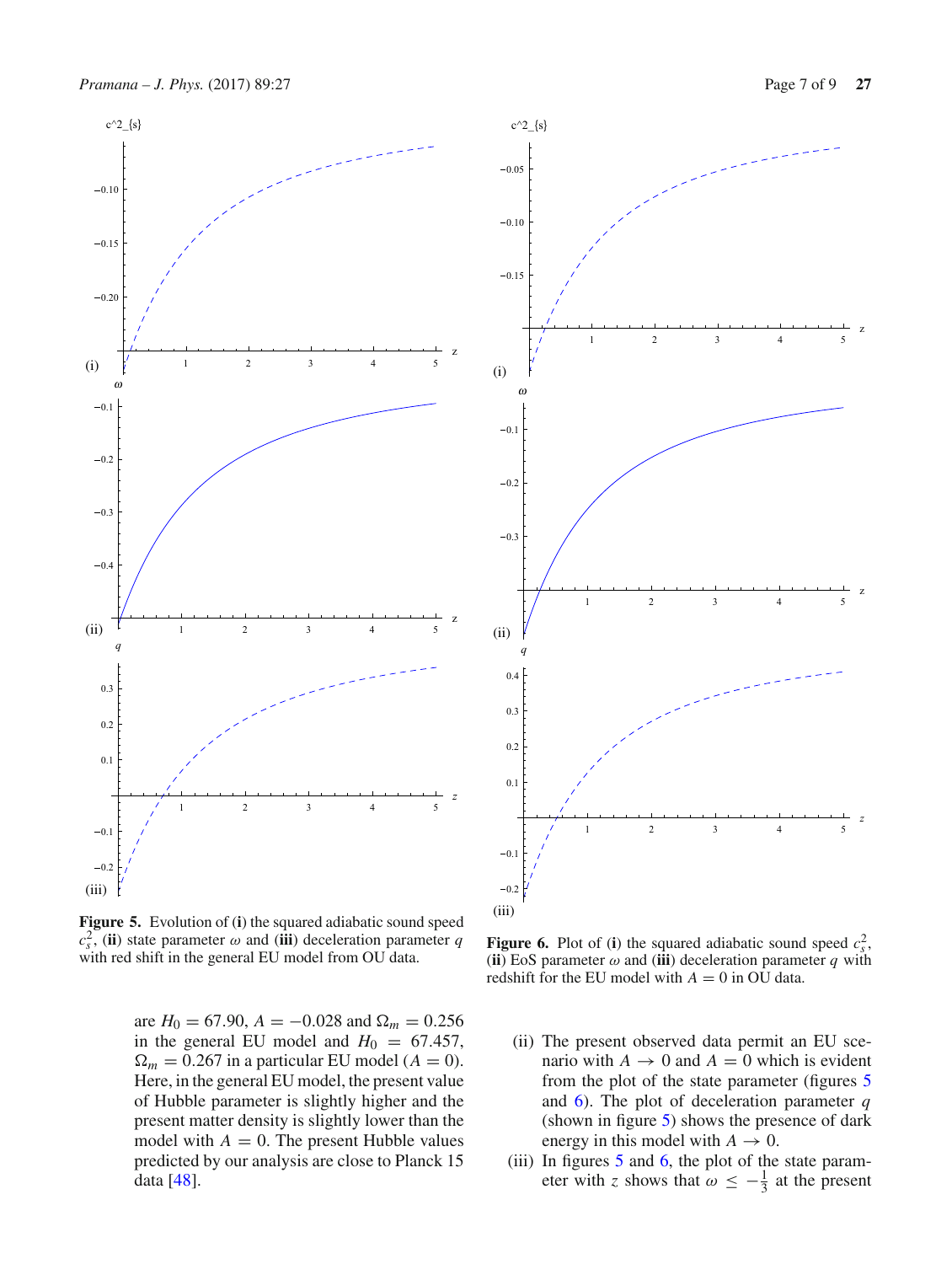

**Figure 5.** Evolution of (**i**) the squared adiabatic sound speed  $c_s^2$ , (**ii**) state parameter  $\omega$  and (**iii**) deceleration parameter *q* with red shift in the general EU model from OU data.

are  $H_0 = 67.90$ ,  $A = -0.028$  and  $\Omega_m = 0.256$ in the general EU model and  $H_0 = 67.457$ ,  $\Omega_m = 0.267$  in a particular EU model ( $A = 0$ ). Here, in the general EU model, the present value of Hubble parameter is slightly higher and the present matter density is slightly lower than the model with  $A = 0$ . The present Hubble values predicted by our analysis are close to Planck 15 data [48].



**Figure 6.** Plot of (**i**) the squared adiabatic sound speed  $c_s^2$ , (**ii**) EoS parameter  $\omega$  and (**iii**) deceleration parameter  $q$  with redshift for the EU model with  $A = 0$  in OU data.

- (ii) The present observed data permit an EU scenario with  $A \rightarrow 0$  and  $A = 0$  which is evident from the plot of the state parameter (figures 5 and 6). The plot of deceleration parameter *q* (shown in figure 5) shows the presence of dark energy in this model with  $A \rightarrow 0$ .
- (iii) In figures 5 and 6, the plot of the state parameter with *z* shows that  $\omega \leq -\frac{1}{3}$  at the present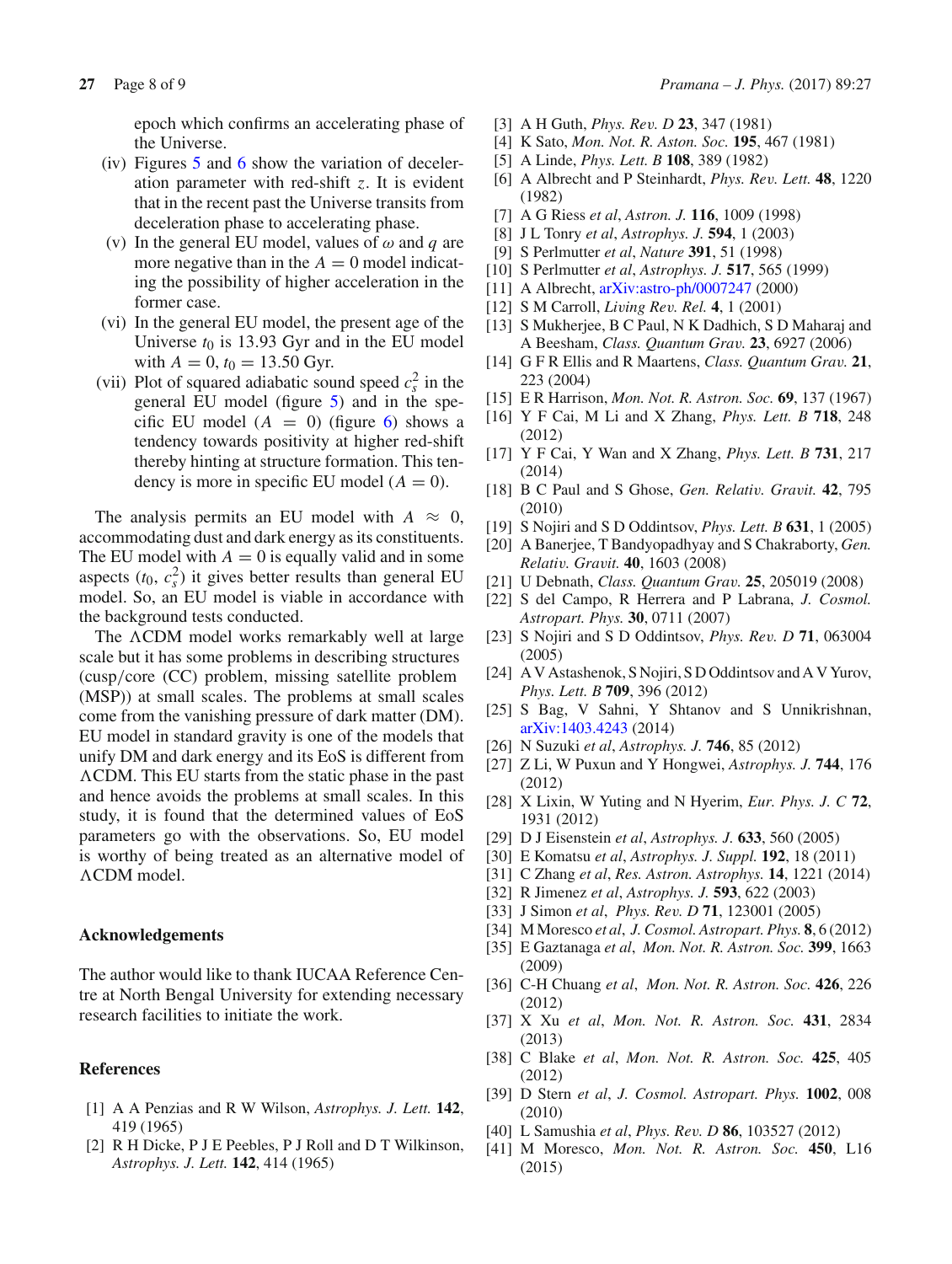epoch which confirms an accelerating phase of the Universe.

- (iv) Figures 5 and 6 show the variation of deceleration parameter with red-shift *z*. It is evident that in the recent past the Universe transits from deceleration phase to accelerating phase.
- (v) In the general EU model, values of  $\omega$  and  $q$  are more negative than in the  $A = 0$  model indicating the possibility of higher acceleration in the former case.
- (vi) In the general EU model, the present age of the Universe  $t_0$  is 13.93 Gyr and in the EU model with  $A = 0$ ,  $t_0 = 13.50$  Gyr.
- (vii) Plot of squared adiabatic sound speed  $c_s^2$  in the general EU model (figure 5) and in the specific EU model  $(A = 0)$  (figure 6) shows a tendency towards positivity at higher red-shift thereby hinting at structure formation. This tendency is more in specific EU model  $(A = 0)$ .

The analysis permits an EU model with  $A \approx 0$ , accommodating dust and dark energy as its constituents. The EU model with  $A = 0$  is equally valid and in some aspects  $(t_0, c_s^2)$  it gives better results than general EU model. So, an EU model is viable in accordance with the background tests conducted.

The  $\Lambda$ CDM model works remarkably well at large scale but it has some problems in describing structures (cusp/core (CC) problem, missing satellite problem (MSP)) at small scales. The problems at small scales come from the vanishing pressure of dark matter (DM). EU model in standard gravity is one of the models that unify DM and dark energy and its EoS is different from CDM. This EU starts from the static phase in the past and hence avoids the problems at small scales. In this study, it is found that the determined values of EoS parameters go with the observations. So, EU model is worthy of being treated as an alternative model of CDM model.

#### **Acknowledgements**

The author would like to thank IUCAA Reference Centre at North Bengal University for extending necessary research facilities to initiate the work.

## **References**

- [1] A A Penzias and R W Wilson, *Astrophys. J. Lett.* **142**, 419 (1965)
- [2] R H Dicke, P J E Peebles, P J Roll and D T Wilkinson, *Astrophys. J. Lett.* **142**, 414 (1965)
- [3] A H Guth, *Phys. Rev. D* **23**, 347 (1981)
- [4] K Sato, *Mon. Not. R. Aston. Soc.* **195**, 467 (1981)
- [5] A Linde, *Phys. Lett. B* **108**, 389 (1982)
- [6] A Albrecht and P Steinhardt, *Phys. Rev. Lett.* **48**, 1220 (1982)
- [7] A G Riess *et al*, *Astron. J.* **116**, 1009 (1998)
- [8] J L Tonry *et al*, *Astrophys. J.* **594**, 1 (2003)
- [9] S Perlmutter *et al*, *Nature* **391**, 51 (1998)
- [10] S Perlmutter *et al*, *Astrophys. J.* **517**, 565 (1999)
- [11] A Albrecht, arXiv:astro-ph/0007247 (2000)
- [12] S M Carroll, *Living Rev. Rel.* **4**, 1 (2001)
- [13] S Mukherjee, B C Paul, N K Dadhich, S D Maharaj and A Beesham, *Class. Quantum Grav.* **23**, 6927 (2006)
- [14] G F R Ellis and R Maartens, *Class. Quantum Grav.* **21**, 223 (2004)
- [15] E R Harrison, *Mon. Not. R. Astron. Soc.* **69**, 137 (1967)
- [16] Y F Cai, M Li and X Zhang, *Phys. Lett. B* **718**, 248 (2012)
- [17] Y F Cai, Y Wan and X Zhang, *Phys. Lett. B* **731**, 217 (2014)
- [18] B C Paul and S Ghose, *Gen. Relativ. Gravit.* **42**, 795 (2010)
- [19] S Nojiri and S D Oddintsov, *Phys. Lett. B* **631**, 1 (2005)
- [20] A Banerjee, T Bandyopadhyay and S Chakraborty, *Gen. Relativ. Gravit.* **40**, 1603 (2008)
- [21] U Debnath, *Class. Quantum Grav.* **25**, 205019 (2008)
- [22] S del Campo, R Herrera and P Labrana, *J. Cosmol. Astropart. Phys.* **30**, 0711 (2007)
- [23] S Nojiri and S D Oddintsov, *Phys. Rev. D* **71**, 063004 (2005)
- [24] A V Astashenok, S Nojiri, S D Oddintsov and A V Yurov, *Phys. Lett. B* **709**, 396 (2012)
- [25] S Bag, V Sahni, Y Shtanov and S Unnikrishnan, arXiv:1403.4243 (2014)
- [26] N Suzuki *et al*, *Astrophys. J.* **746**, 85 (2012)
- [27] Z Li, W Puxun and Y Hongwei, *Astrophys. J.* **744**, 176 (2012)
- [28] X Lixin, W Yuting and N Hyerim, *Eur. Phys. J. C* **72**, 1931 (2012)
- [29] D J Eisenstein *et al*, *Astrophys. J.* **633**, 560 (2005)
- [30] E Komatsu *et al*, *Astrophys. J. Suppl.* **192**, 18 (2011)
- [31] C Zhang *et al*, *Res. Astron. Astrophys.* **14**, 1221 (2014)
- [32] R Jimenez *et al*, *Astrophys. J.* **593**, 622 (2003)
- [33] J Simon *et al*, *Phys. Rev. D* **71**, 123001 (2005)
- [34] M Moresco *et al*, *J. Cosmol. Astropart. Phys.* **8**, 6 (2012)
- [35] E Gaztanaga *et al*, *Mon. Not. R. Astron. Soc.* **399**, 1663 (2009)
- [36] C-H Chuang *et al*, *Mon. Not. R. Astron. Soc.* **426**, 226 (2012)
- [37] X Xu *et al*, *Mon. Not. R. Astron. Soc.* **431**, 2834 (2013)
- [38] C Blake *et al*, *Mon. Not. R. Astron. Soc.* **425**, 405 (2012)
- [39] D Stern *et al*, *J. Cosmol. Astropart. Phys.* **1002**, 008 (2010)
- [40] L Samushia *et al*, *Phys. Rev. D* **86**, 103527 (2012)
- [41] M Moresco, *Mon. Not. R. Astron. Soc.* **450**, L16 (2015)